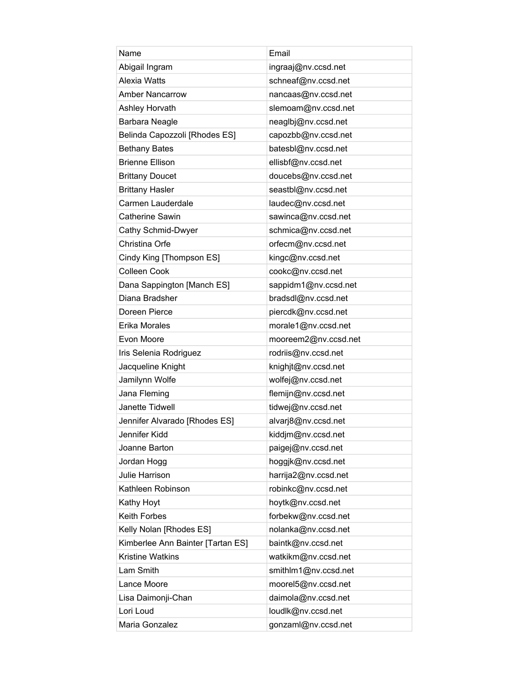| Name                              | Email                |
|-----------------------------------|----------------------|
| Abigail Ingram                    | ingraaj@nv.ccsd.net  |
| Alexia Watts                      | schneaf@nv.ccsd.net  |
| <b>Amber Nancarrow</b>            | nancaas@nv.ccsd.net  |
| Ashley Horvath                    | slemoam@nv.ccsd.net  |
| Barbara Neagle                    | neaglbj@nv.ccsd.net  |
| Belinda Capozzoli [Rhodes ES]     | capozbb@nv.ccsd.net  |
| <b>Bethany Bates</b>              | batesbl@nv.ccsd.net  |
| <b>Brienne Ellison</b>            | ellisbf@nv.ccsd.net  |
| <b>Brittany Doucet</b>            | doucebs@nv.ccsd.net  |
| <b>Brittany Hasler</b>            | seastbl@nv.ccsd.net  |
| Carmen Lauderdale                 | laudec@nv.ccsd.net   |
| <b>Catherine Sawin</b>            | sawinca@nv.ccsd.net  |
| Cathy Schmid-Dwyer                | schmica@nv.ccsd.net  |
| Christina Orfe                    | orfecm@nv.ccsd.net   |
| Cindy King [Thompson ES]          | kingc@nv.ccsd.net    |
| <b>Colleen Cook</b>               | cookc@nv.ccsd.net    |
| Dana Sappington [Manch ES]        | sappidm1@nv.ccsd.net |
| Diana Bradsher                    | bradsdl@nv.ccsd.net  |
| Doreen Pierce                     | piercdk@nv.ccsd.net  |
| Erika Morales                     | morale1@nv.ccsd.net  |
| Evon Moore                        | mooreem2@nv.ccsd.net |
| Iris Selenia Rodriguez            | rodriis@nv.ccsd.net  |
| Jacqueline Knight                 | knighjt@nv.ccsd.net  |
| Jamilynn Wolfe                    | wolfej@nv.ccsd.net   |
| Jana Fleming                      | flemijn@nv.ccsd.net  |
| Janette Tidwell                   | tidwej@nv.ccsd.net   |
| Jennifer Alvarado [Rhodes ES]     | alvarj8@nv.ccsd.net  |
| Jennifer Kidd                     | kiddjm@nv.ccsd.net   |
| Joanne Barton                     | paigej@nv.ccsd.net   |
| Jordan Hogg                       | hoggjk@nv.ccsd.net   |
| Julie Harrison                    | harrija2@nv.ccsd.net |
| Kathleen Robinson                 | robinkc@nv.ccsd.net  |
| Kathy Hoyt                        | hoytk@nv.ccsd.net    |
| Keith Forbes                      | forbekw@nv.ccsd.net  |
| Kelly Nolan [Rhodes ES]           | nolanka@nv.ccsd.net  |
| Kimberlee Ann Bainter [Tartan ES] | baintk@nv.ccsd.net   |
| <b>Kristine Watkins</b>           | watkikm@nv.ccsd.net  |
| Lam Smith                         | smithlm1@nv.ccsd.net |
| Lance Moore                       | moorel5@nv.ccsd.net  |
| Lisa Daimonji-Chan                | daimola@nv.ccsd.net  |
| Lori Loud                         | loudlk@nv.ccsd.net   |
| Maria Gonzalez                    | gonzaml@nv.ccsd.net  |